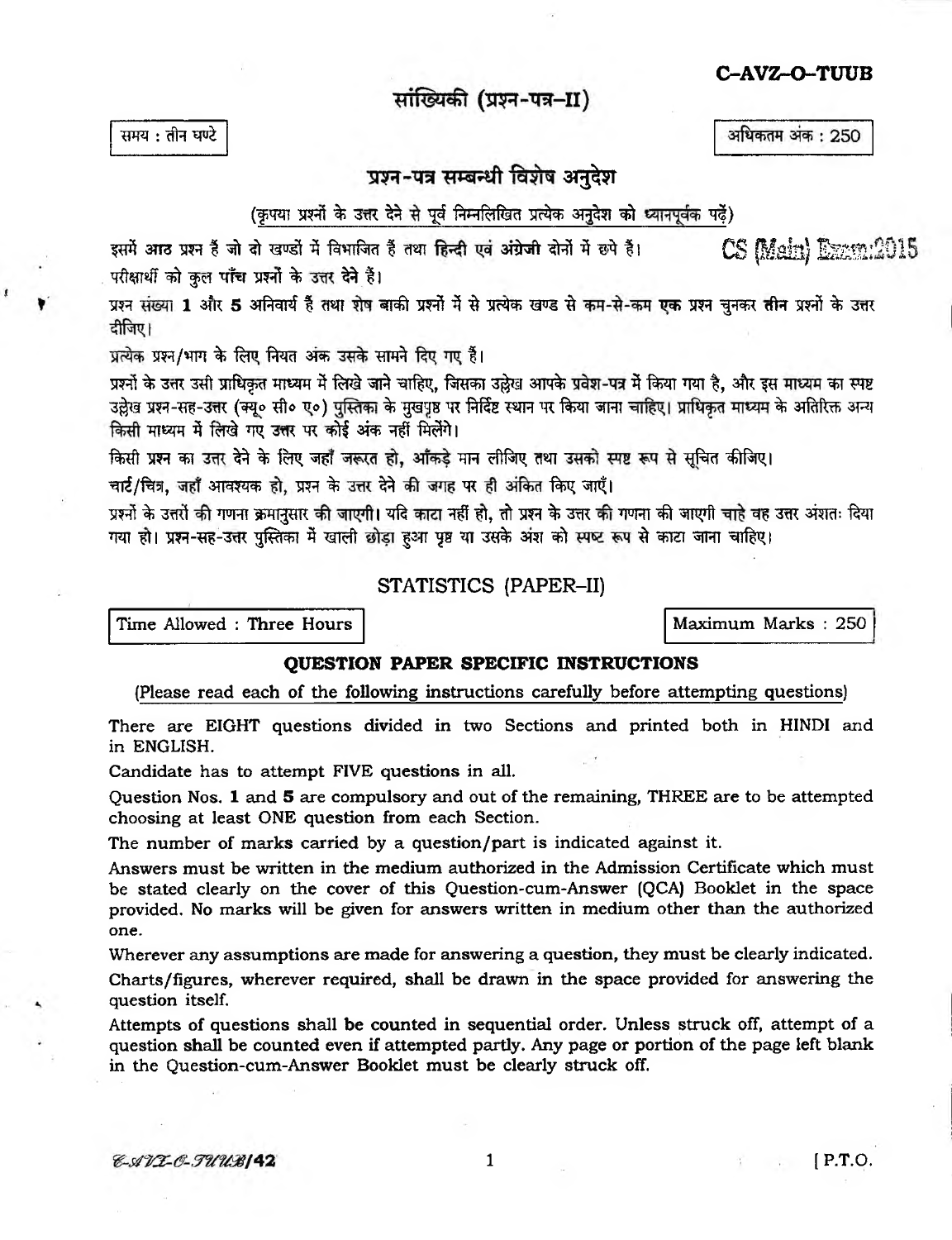### C-AVZ-O-TUUB

अधिकतम अंक: 250

# सांख्यिकी (प्रश्न-पत्र-II)

समय: तीन घण्टे

# प्रश्न-पत्र सम्बन्धी विशेष अनदेश

### (कृपया प्रश्नों के उत्तर देने से पूर्व निम्नलिखित प्रत्येक अनुदेश को ध्यानपूर्वक पढें)

इसमें आठ प्रश्न हैं जो दो खण्डों में विभाजित हैं तथा हिन्दी एवं अंग्रेजी दोनों में छपे हैं। CS Main) Exam:2015 परीक्षार्थी को कुल पाँच प्रश्नों के उत्तर देने हैं।

प्रश्न संख्या 1 और 5 अनिवार्य हैं तथा शेष बाकी प्रश्नों में से प्रत्येक खण्ड से कम-से-कम एक प्रश्न चनकर तीन प्रश्नों के उत्तर टीजिए।

प्रत्येक प्रश्न/भाग के लिए नियत अंक उसके सामने दिए गए हैं।

प्रश्नों के उत्तर उसी प्राधिकत माध्यम में लिखे जाने चाहिए, जिसका उल्लेख आपके प्रवेश-पत्र में किया गया है. और इस माध्यम का स्पष्ट उल्लेख प्रश्न-सह-उत्तर (क्यू० सी० ए०) पुस्तिका के मुखपृष्ठ पर निर्दिष्ट स्थान पर किया जाना चाहिए। प्राधिकृत माध्यम के अतिरिक्त अन्य किसी माध्यम में लिखे गए उत्तर पर कोई अंक नहीं मिलेंगे।

किसी प्रश्न का उत्तर देने के लिए जहाँ जरूरत हो, आँकड़े मान लीजिए तथा उसको स्पष्ट रूप से सचित कीजिए।

चार्ट/चित्र, जहाँ आवश्यक हो, प्रश्न के उत्तर देने की जगह पर ही अंकित किए जाएँ।

प्रश्नों के उत्तरों की गणना क्रमानुसार की जाएगी। यदि काटा नहीं हो, तो प्रश्न के उत्तर की गणना की जाएगी चाहे वह उत्तर अंशतः दिया गया हो। प्रश्न-सह-उत्तर पुस्तिका में खाली छोड़ा हुआ पृष्ठ या उसके अंश को स्पष्ट रूप से काटा जाना चाहिए।

### STATISTICS (PAPER-II)

Time Allowed : Three Hours

Maximum Marks: 250

#### **OUESTION PAPER SPECIFIC INSTRUCTIONS**

(Please read each of the following instructions carefully before attempting questions)

There are EIGHT questions divided in two Sections and printed both in HINDI and in ENGLISH.

Candidate has to attempt FIVE questions in all.

Question Nos. 1 and 5 are compulsory and out of the remaining, THREE are to be attempted choosing at least ONE question from each Section.

The number of marks carried by a question/part is indicated against it.

Answers must be written in the medium authorized in the Admission Certificate which must be stated clearly on the cover of this Question-cum-Answer (QCA) Booklet in the space provided. No marks will be given for answers written in medium other than the authorized one.

Wherever any assumptions are made for answering a question, they must be clearly indicated.

Charts/figures, wherever required, shall be drawn in the space provided for answering the question itself.

Attempts of questions shall be counted in sequential order. Unless struck off, attempt of a question shall be counted even if attempted partly. Any page or portion of the page left blank in the Ouestion-cum-Answer Booklet must be clearly struck off.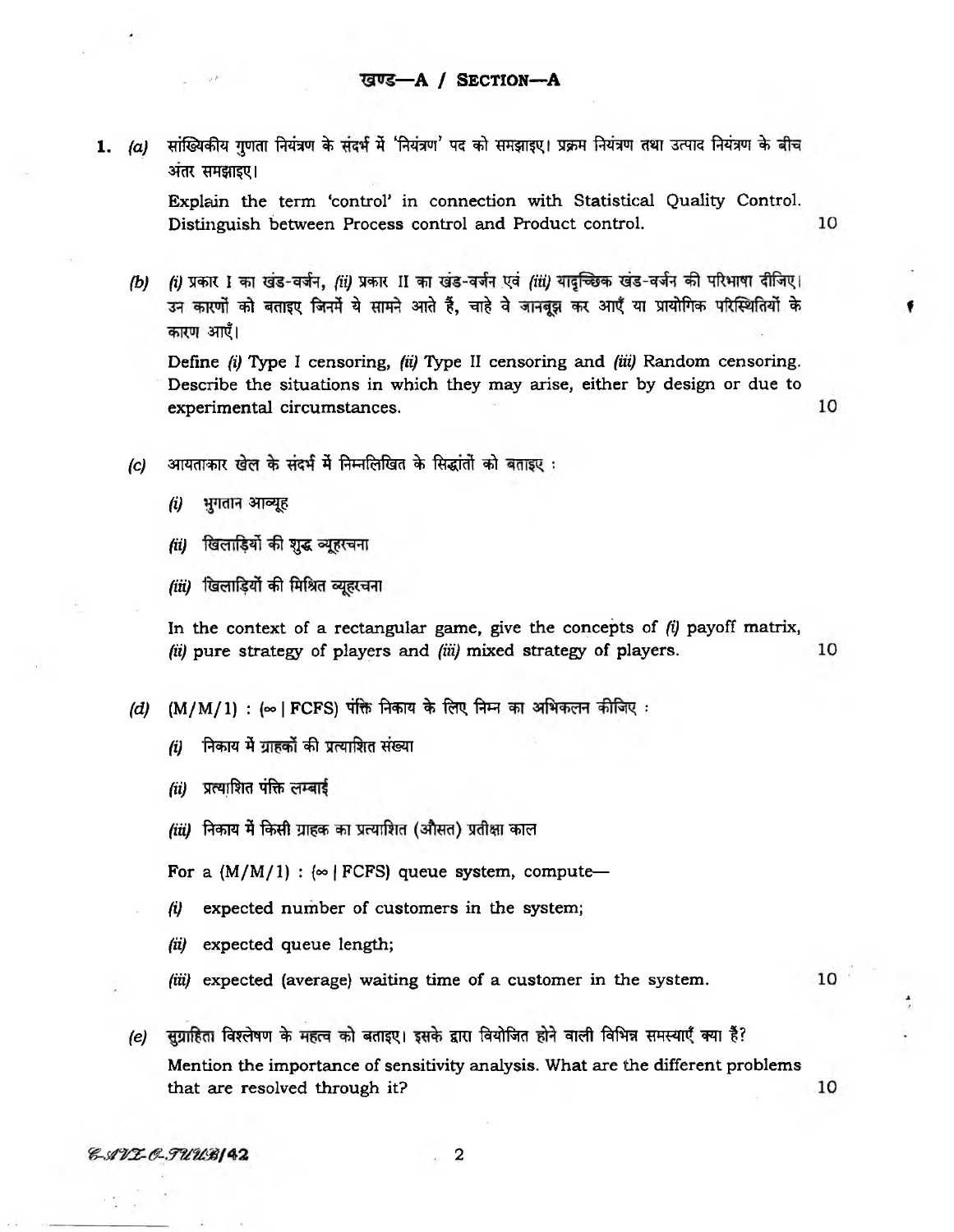1. (a) सांख्यिकीय गुणता नियंत्रण के संदर्भ में 'नियंत्रण' पद को समझाइए। प्रक्रम नियंत्रण तथा उत्पाद नियंत्रण के बीच **अंतर समझाइए।** 

> Explain the term 'control' in connection with Statistical Quality Control. 10 Distinguish between Process control and Product control.

*(b) (i)* प्रकार I का खंड-वर्जन, (ii) प्रकार II का खंड-वर्जन एवं (iii) यादच्छिक खंड-वर्जन की परिभाषा दीजिए। उन कारणों को बताइए जिनमें ये सामने आते हैं, चाहे वे जानबूझ कर आएँ या प्रायोगिक परिस्थितियों के कारण आएँ।

Define *(i)* Type I censoring, *(ii)* Type II censoring and *(iii)* Random censoring. Describe the situations in which they may arise, either by design or due to experimental circumstances,

10

- *(c)* आयताकार खेल के संदर्भ में निम्नलिखित के सिद्धांतों को बताइए:
	- *(i)* भुगतान आव्यूह
	- *(ii)* खिलाड़ियों की शुद्ध व्यूहरचना
	- *(iii)* खिलाडियों की मिश्रित व्युहरचना

In the context of a rectangular game, give the concepts of *(i)* payoff matrix, 10 *(ii)* pure strategy of players and *(iii)* mixed strategy of players.

- *(d)* (M/M/1) : (∞ | FCFS) पंक्ति निकाय के लिए निम्न का अभिकलन कीजिए :
	- *(i)* निकाय में ग्राहकों की प्रत्याशित संख्या
	- $(ii)$  प्रत्याशित पंक्ति लम्बाई
	- *(iii)* निकाय में किसी ग्राहक का प्रत्याशित (औसत) प्रतीक्षा काल

For a  $(M/M/1)$  :  $\infty$  | FCFS] queue system, compute—

- *(i)* expected number of customers in the system;
- *(ii)* expected queue length;
- *(iii)* expected (average) waiting time of a customer in the system.

10

(e) सुग्राहिता विश्लेषण के महत्व को बताइए। इसके द्वारा वियोजित होने वाली विभिन्न समस्याएँ क्या हैं? Mention the importance of sensitivity analysis. What are the different problems 10 that are resolved through it?

E-AVI-C-TUUBI42

2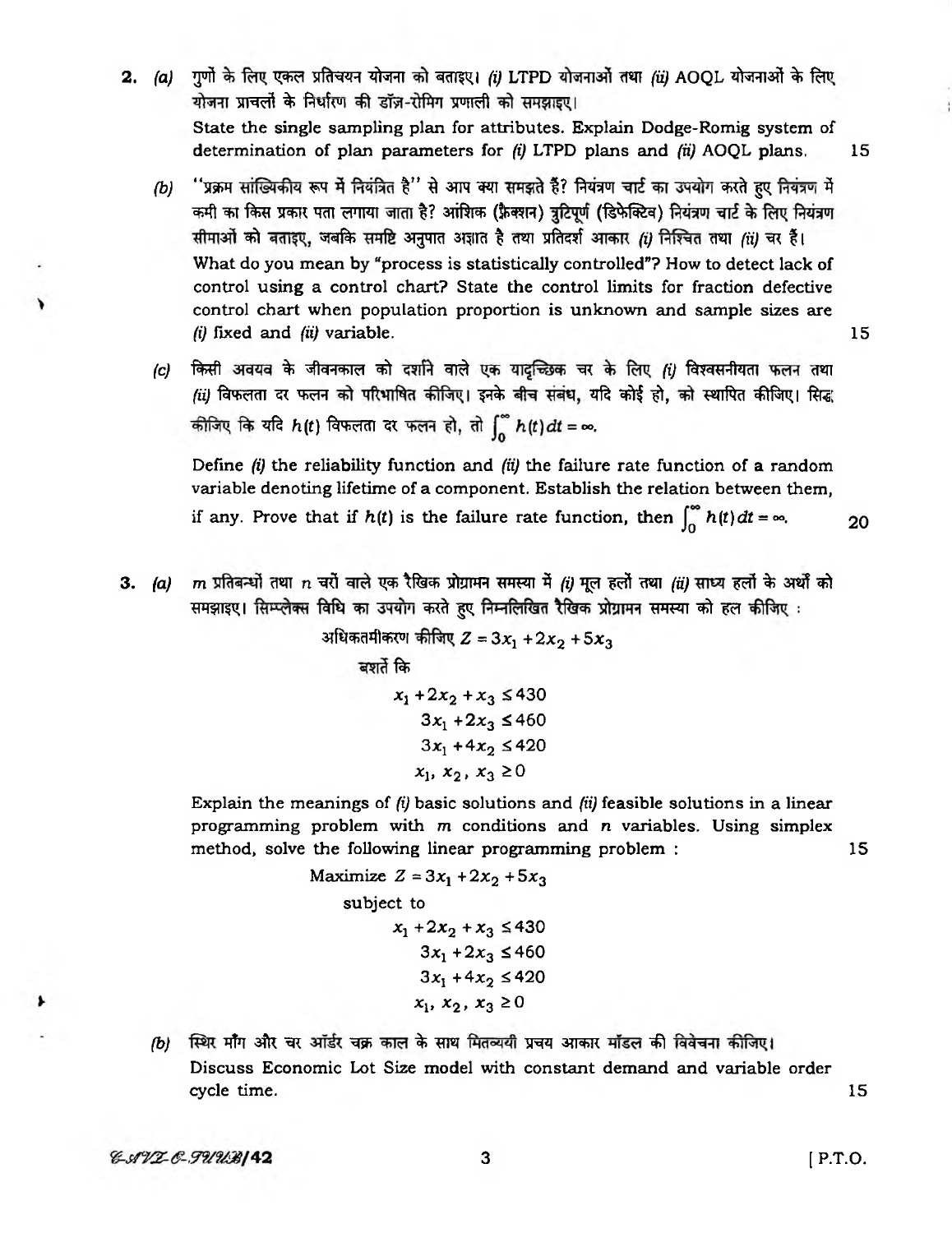- 2. (a) गुणों के लिए एकल प्रतिचयन योजना को बताइए। (i) LTPD योजनाओं तथा (ii) AOOL योजनाओं के लिए योजना प्राचलों के निर्धारण की डॉज़-रोमिंग प्रणाली को समझाइए। State the single sampling plan for attributes. Explain Dodge-Romig system of determination of plan parameters for *(i)* LTPD plans and *(ii)* AOQL plans. 15
	- *(b)* "प्रक्रम सांख्यिकीय रूप में नियंत्रित है" से आप क्या समझते हैं? नियंत्रण चार्ट का उपयोग करते हुए नियंत्रण में कमी का किस प्रकार पता लगाया जाता है? आंशिक (फ़ैक्शन) त्रुटिपूर्ण (डिफेक्टिव) नियंत्रण चार्ट के लिए नियंत्रण सीमाओं को बताइए, जबकि समष्टि अनुपात अज्ञात है तथा प्रतिदर्श आकार *(i)* निश्चित तथा *(ii)* चर हैं। What do you mean by "process is statistically controlled"? How to detect lack of control using a control chart? State the control limits for fraction defective control chart when population proportion is unknown and sample sizes are *(i)* fixed and *(ii)* variable. 15
	- *(c)* किसी अवयव के जीवनकाल को दर्शाने वाले एक यादच्छिक चर के लिए *fi)* विश्वसनीयता फलन तथा *(ii)* विफलता दर फलन को परिभाषित कीजिए। इनके बीच संबंध, यदि कोई हो, को स्थापित कीजिए। सिद्ध कीजिए कि यदि  $h(t)$  विफलता दर फलन हो, तो  $\int_{0}^{\infty} h(t) dt = \infty$ .

Define *(i)* the reliability function and *(ii)* the failure rate function of a random variable denoting lifetime of a component. Establish the relation between them, if any. Prove that if  $h(t)$  is the failure rate function, then  $\int_{0}^{\infty} h(t) dt = \infty$ . 20

3. (a) m प्रतिबन्धों तथा n चरों वाले एक रैखिक प्रोग्रामन समस्या में (i) मूल हलों तथा (ii) साध्य हलों के अर्थों को समझाइए। सिम्प्लेक्स विधि का उपयोग करते हुए निम्नलिखित रैखिक प्रोग्रामन समस्या को हल कीजिए :

> अधिकतमीकरण कीजिए  $Z = 3x_1 + 2x_2 + 5x_3$ बशर्ते कि  $x_1 + 2x_2 + x_3 \leq 430$  $3x_1 + 2x_3 \le 460$  $3x_1 + 4x_2 \le 420$  $x_1, x_2, x_3 \ge 0$

Explain the meanings of *(i)* basic solutions and *(ii)* feasible solutions in a linear programming problem with *m* conditions and n variables. Using simplex method, solve the following linear programming problem : 15

Maximize 
$$
Z = 3x_1 + 2x_2 + 5x_3
$$
  
\nsubject to  
\n $x_1 + 2x_2 + x_3 \le 430$   
\n $3x_1 + 2x_3 \le 460$   
\n $3x_1 + 4x_2 \le 420$   
\n $x_1, x_2, x_3 \ge 0$ 

*(b)* स्थिर माँग और चर आँर्डर चक्र काल के साथ मितव्ययी प्रचय आकार मॉडल की विवेचना कीजिए। Discuss Economic Lot Size model with constant demand and variable order cycle time. 15

 $3$  [ P.T.O.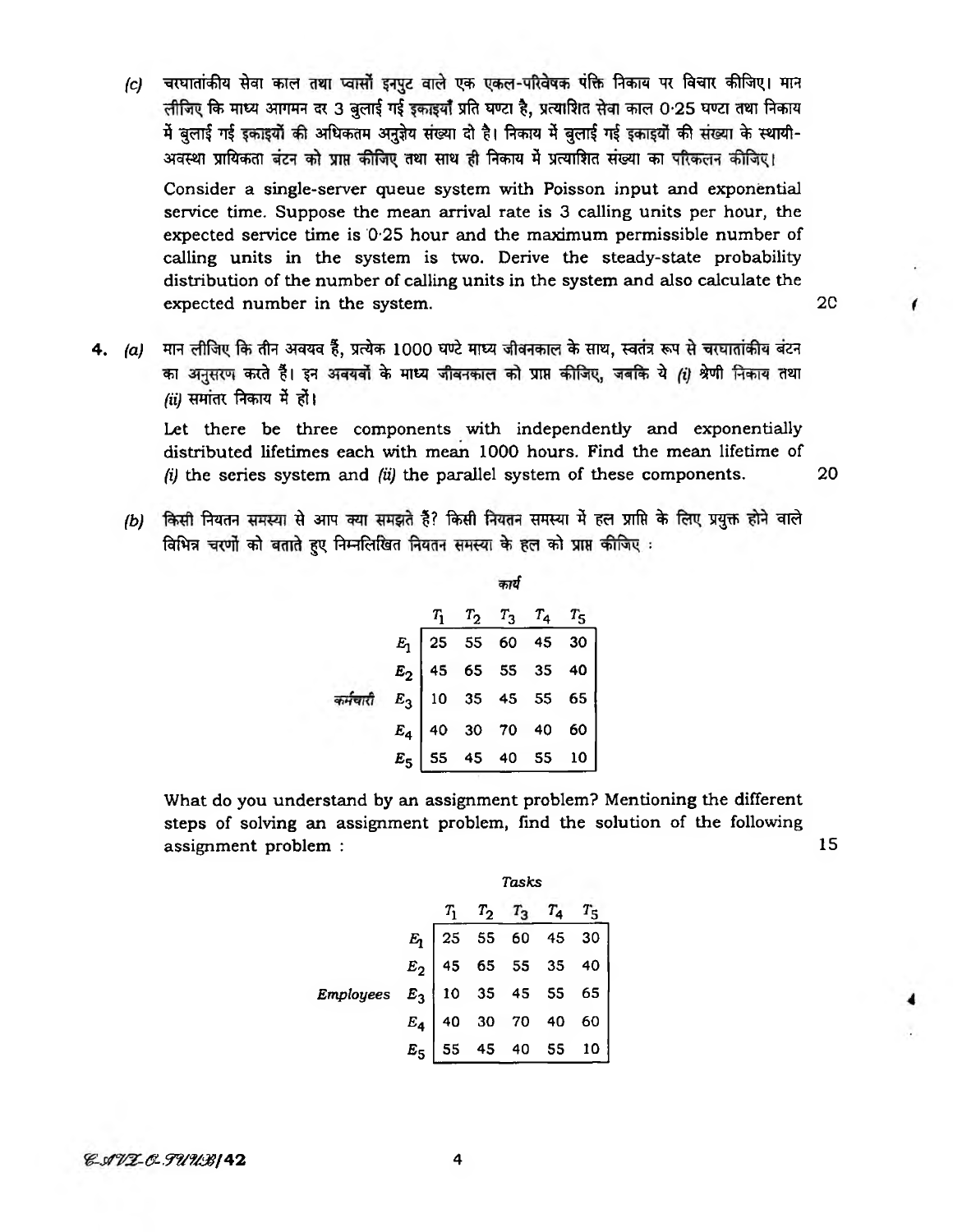*(c)* चरघातांकीय सेवा काल तथा प्वासों इनपुट वाले एक एकल-परिवेषक पंक्ति निकाय पर विचार कीजिए। मान लीजिए कि माध्य आगमन दर 3 बुलाई गई इकाइयाँ प्रति घण्टा है, प्रत्याशित सेवा काल 0·25 घण्टा तथा निकाय में बुलाई गई इकाइयों की अधिकतम अनुज्ञेय संख्या दो है। निकाय में बुलाई गई इकाइयों की संख्या के स्थायी-अवस्था प्रायिकता बंटन को प्राप्त कीजिए तथा साथ ही निकाय में प्रत्याशित संख्या का परिकलन कीजिए।

Consider a single-server queue system with Poisson input and exponential service time. Suppose the mean arrival rate is 3 calling units per hour, the expected service time is 0-25 hour and the maximum permissible number of calling units in the system is two. Derive the steady-state probability distribution of the number of calling units in the system and also calculate the expected number in the system.

4. *(a)* मान लीजिए कि तीन अवयव हैं, प्रत्येक 1000 घण्टे माध्य जीवनकाल के साथ, स्वतंत्र रूप से चरघातांकीय बंटन का अनुसरण करते हैं। इन अवयर्वों के माध्य जीवनकाल को प्राप्त कीजिए, जबकि ये (i) श्रेणी निकाय तथा  $(ii)$  समांतर निकाय में हों।

Let there be three components with independently and exponentially distributed lifetimes each with mean 1000 hours. Find the mean lifetime of *(i)* the series system and *(ii)* the parallel system of these components. 20

*(b)* किसी नियतन समस्या से आप क्या समझते हैं? किसी नियतन समस्या में हल प्राप्ति के लिए प्रयुक्त होने वाले विभिन्न चरणों को बताते हुए निम्नलिखित नियतन समस्या के हल को प्राप्त कीजिए :

| $E_1$ $E_2$ $E_3$ $T_4$ $T_5$<br>$E_1$ $25$ 55 60 45 30<br>$E_2$ 45 65 55 35 40<br>$E_3$ 10 35 45 55 65<br>$E_4$ 40 30 70 40 60<br>$E_5$ 55 45 40 55 10 |  |  |  |
|---------------------------------------------------------------------------------------------------------------------------------------------------------|--|--|--|
|                                                                                                                                                         |  |  |  |

What do you understand by an assignment problem? Mentioning the different steps of solving an assignment problem, find the solution of the following assignment problem : 15

|                                                                                                                                                                                                                                                                                                    | Tasks |  |  |  |
|----------------------------------------------------------------------------------------------------------------------------------------------------------------------------------------------------------------------------------------------------------------------------------------------------|-------|--|--|--|
|                                                                                                                                                                                                                                                                                                    |       |  |  |  |
|                                                                                                                                                                                                                                                                                                    |       |  |  |  |
|                                                                                                                                                                                                                                                                                                    |       |  |  |  |
|                                                                                                                                                                                                                                                                                                    |       |  |  |  |
|                                                                                                                                                                                                                                                                                                    |       |  |  |  |
| $E_1$<br>$E_2$<br>$E_3$<br>$E_4$<br>$E_5$<br>$E_6$<br>$E_7$<br>$E_8$<br>$E_9$<br>$E_9$<br>$E_1$<br>$10$<br>$35$<br>$45$<br>$55$<br>$55$<br>$65$<br>$55$<br>$65$<br>$55$<br>$65$<br>$E_6$<br>$E_7$<br>$E_8$<br>$E_9$<br>$E_9$<br>$E_1$<br>$40$<br>$30$<br>$70$<br>$40$<br>$60$<br>$E_5$<br>$55$<br> |       |  |  |  |

*& .477 6. TUUB* | 42 **4** 42 **4** 4

2C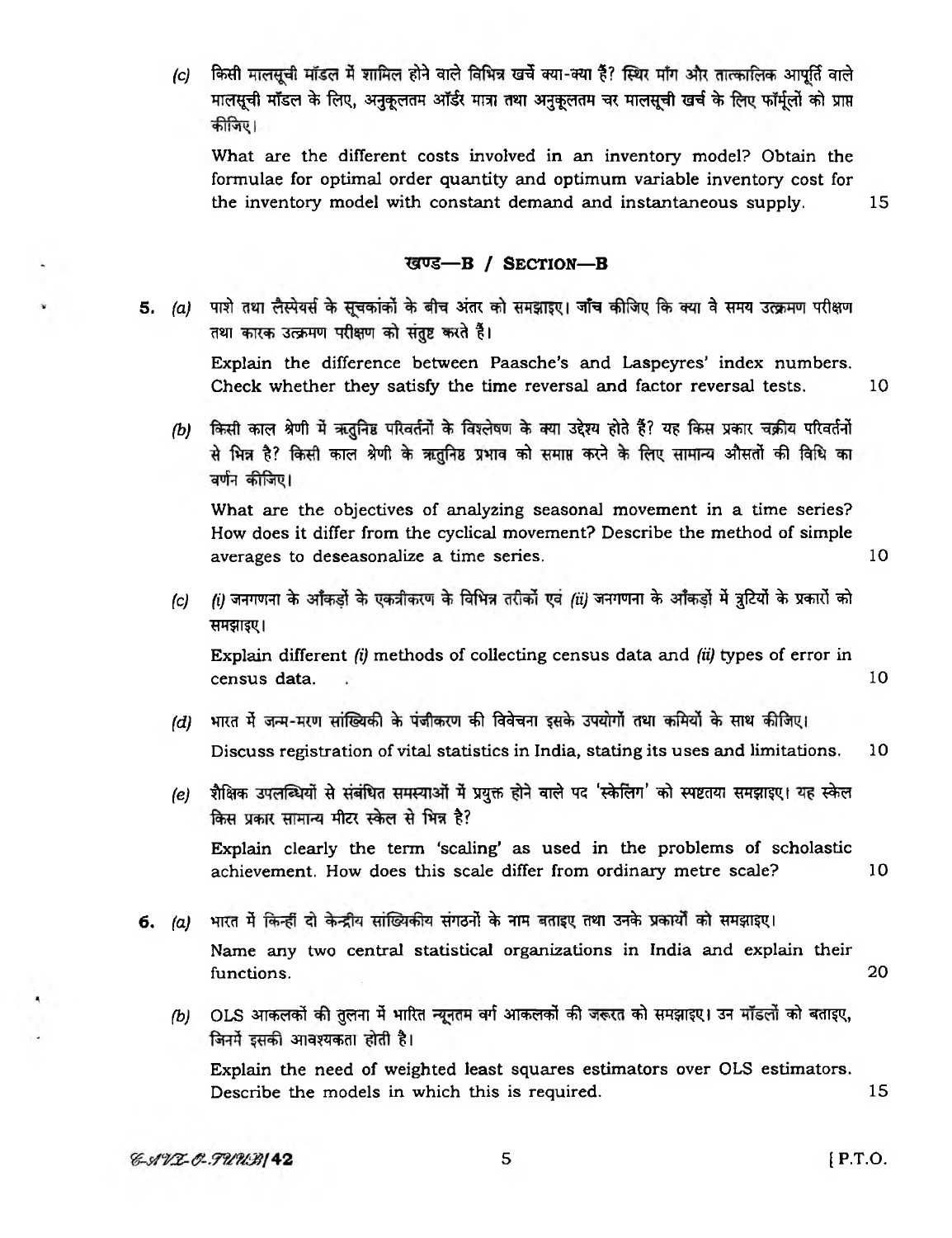*(c)* किसी मालसची मॉडल में शामिल होने वाले विभिन्न खर्चे क्या-क्या है? स्थिर माँग और तात्कालिक आपर्ति वाले भालसूची मॉडल के लिए, अनुकूलतम ऑर्डर मात्रा तथा अनुकूलतम चर मालसूची खर्च के लिए फॉर्मुलों को प्राप्त कीजिए।

What are the different costs involved in an inventory model? Obtain the formulae for optimal order quantity and optimum variable inventory cost for the inventory model with constant demand and instantaneous supply. 15

#### खण्ड-B / SECTION-B

5. (a) पाशे तथा लैस्पेयर्स के सुचकांकों के बीच अंतर को समझाइए। जाँच कीजिए कि क्या वे समय उत्क्रमण परीक्षण तथा कारक उत्क्रमण परीक्षण को संतुष्ट करते हैं।

Explain the difference between Paasche's and Laspeyres' index numbers. Check whether they satisfy the time reversal and factor reversal tests. 10

*(b)* किसी काल श्रेणी में ऋतुनिष्ठ परिवर्तनों के विश्लेषण के क्या उद्देश्य होते हैं? यह किस प्रकार चक्रीय परिवर्तनों से भिन्न है? किसी काल श्रेणी के ऋतुनिष्ठ प्रभाव को समाप्त करने के लिए सामान्य औसतों की विधि का वर्णन कीजिए।

What are the objectives of analyzing seasonal movement in a time series? How does it differ from the cyclical movement? Describe the method of simple averages to deseasonalize a time series. 10

*(c) (i)* जनगणना के आँकड़ों के एकत्रीकरण के विभिन्न तरीकों एवं *(ii)* जनगणना के आँकड़ों में त्रुटियों के प्रकारों को *<u>RHझाइए।</u>* 

Explain different *(i)* methods of collecting census data and *(ii)* types of error in census data. 10

- *(d)* भारत में जन्म-मरण सांख्यिकी के पंजीकरण की विवेचना इसके उपयोगों तथा कमियों के साथ कीजिए। Discuss registration of vital statistics in India, stating its uses and limitations. 10
- *(e)* शैक्षिक उपलब्धियों से संबंधित समस्याओं में प्रयुक्त होने वाले पद 'स्केलिंग' को स्पष्टतया समझाइए। यह स्केल किस प्रकार सामान्य मीटर स्केल से भिन्न है?

Explain clearly the term 'scaling' as used in the problems of scholastic achievement. How does this scale differ from ordinary metre scale? 10

- 6. (a) भारत में किन्हीं दो केन्द्रीय सांख्यिकीय संगठनों के नाम बताइए तथा उनके प्रकार्यों को समझाइए। Name any two central statistical organizations in India and explain their functions. 20
	- *(b)* OLS आकलकों की तुलना में भारित न्यूनतम वर्ग आकलकों की जरूरत को समझाइए। उन मॉडलों को बताइए, जिनमें इसकी आवश्यकता होती है।

Explain the need of weighted least squares estimators over OLS estimators. Describe the models in which this is required. 15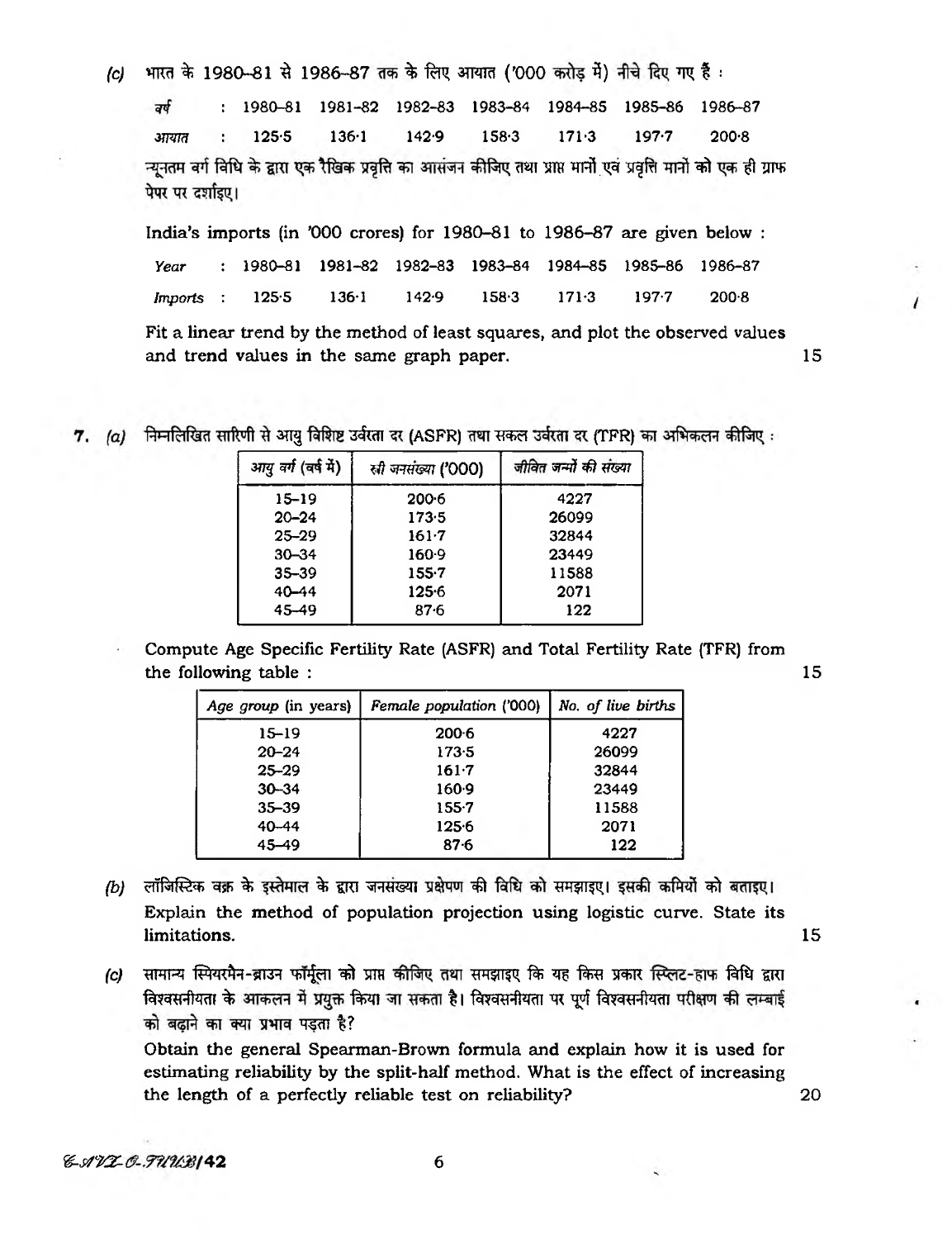भारत के 1980-81 से 1986-87 तक के लिए आयात ('000 करोड़ में) नीचे दिए गए हैं :  $|c|$ 

1980-81 1981-82 1982-83 1983-84 1984-85 1985-86 1986-87 वर्ष  $125.5$  $171.3$  $197.7$ आयात  $136·1$  $142.9$  $158.3$  $200.8$ न्युनतम वर्ग विधि के द्वारा एक रैखिक प्रवृत्ति का आसंजन कीजिए तथा प्राप्त मानों एवं प्रवृत्ति मानों को एक ही ग्राफ पेपर पर दर्शाइए।

India's imports (in '000 crores) for 1980-81 to 1986-87 are given below :

1980-81 1981-82 1982-83 1983-84 1984-85 1985-86 1986-87 Year Imports  $125.5$  $136 \cdot 1$  $142.9$  $158.3$  $171-3$  $197 - 7$  $200.8$  $\ddot{\cdot}$ 

Fit a linear trend by the method of least squares, and plot the observed values and trend values in the same graph paper.

15

15

20

7. (a) निम्नलिखित सारिणी से आयु विशिष्ट उर्वरता दर (ASFR) तथा सकल उर्वरता दर (TFR) का अभिकलन कीजिए:

| आयु वर्ग (वर्ष में) | सी जनसंख्या ('000) | जीवित जन्मों की संख्या |
|---------------------|--------------------|------------------------|
| 15–19               | 200.6              | 4227                   |
| $20 - 24$           | 173.5              | 26099                  |
| $25 - 29$           | $161 - 7$          | 32844                  |
| $30 - 34$           | $160-9$            | 23449                  |
| $35 - 39$           | $155 - 7$          | 11588                  |
| $40 - 44$           | 1256               | 2071                   |
| 45-49               | $87 - 6$           | 122                    |

Compute Age Specific Fertility Rate (ASFR) and Total Fertility Rate (TFR) from the following table :

| Age group (in years) | Female population ('000) | No. of live births |
|----------------------|--------------------------|--------------------|
| $15 - 19$            | $200-6$                  | 4227               |
| $20 - 24$            | 173.5                    | 26099              |
| $25 - 29$            | $161 - 7$                | 32844              |
| $30 - 34$            | 160.9                    | 23449              |
| $35 - 39$            | $155 - 7$                | 11588              |
| $40 - 44$            | $125 - 6$                | 2071               |
| $45 - 49$            | $87 - 6$                 | 122                |

- (b) लॉजिस्टिक वक्र के इस्तेमाल के द्वारा जनसंख्या प्रक्षेपण की विधि को समझाइए। इसकी कमियों को बताइए। Explain the method of population projection using logistic curve. State its limitations. 15
- सामान्य स्पियरमैन-ब्राउन फॉर्मुला को प्राप्त कीजिए तथा समझाइए कि यह किस प्रकार स्प्लिट-हाफ विधि द्वारा  $|c|$ विश्वसनीयता के आकलन में प्रयुक्त किया जा सकता है। विश्वसनीयता पर पूर्ण विश्वसनीयता परीक्षण की लम्बाई को बढ़ाने का क्या प्रभाव पड़ता है?

Obtain the general Spearman-Brown formula and explain how it is used for estimating reliability by the split-half method. What is the effect of increasing the length of a perfectly reliable test on reliability?

6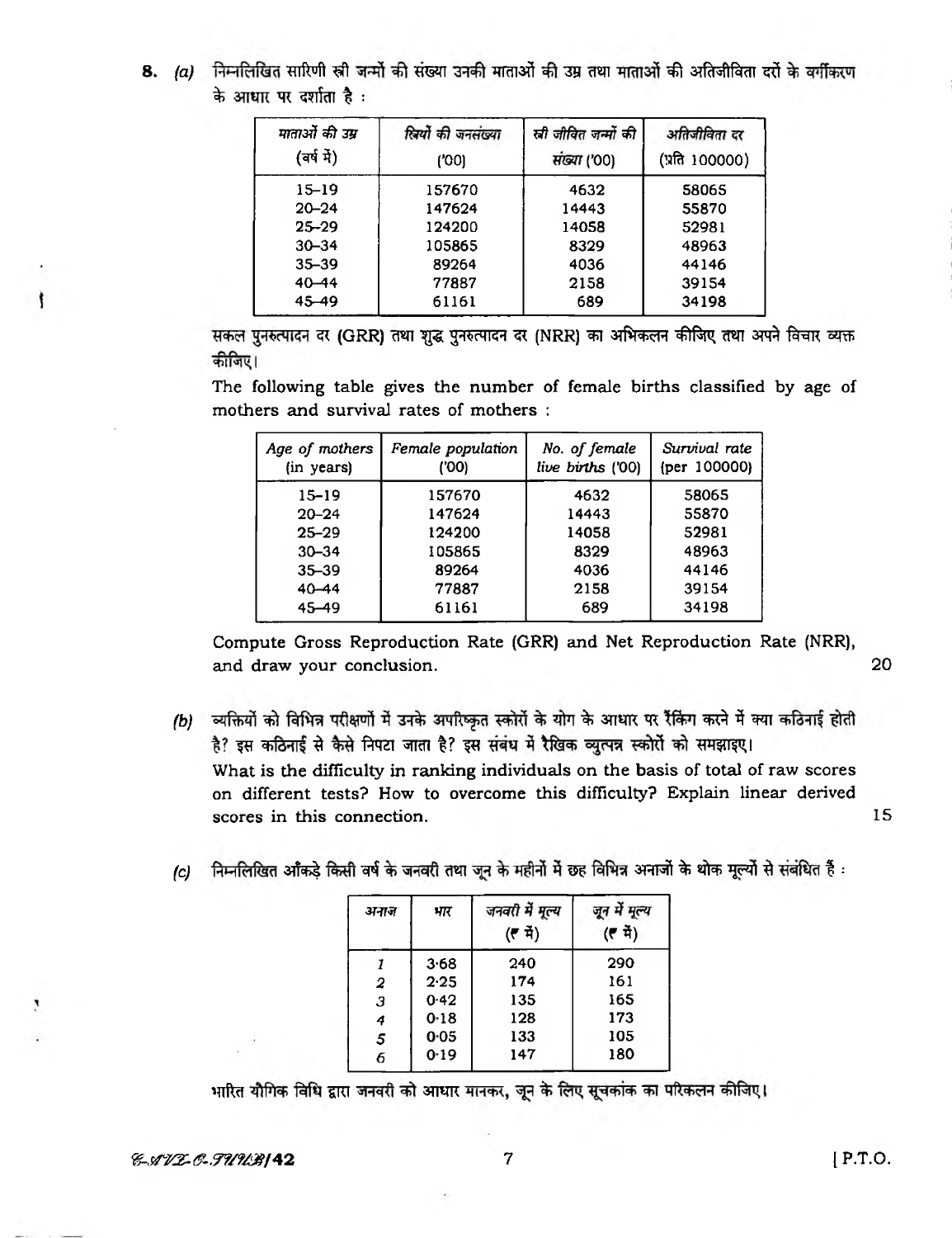8. (a) निम्नलिखित सारिणी स्री जन्मों की संख्या उनकी माताओं की उम्र तथा माताओं की अतिजीविता दरों के वर्गीकरण के आधार पर दर्शाता है:

| पाताओं की उम्र<br>(वर्ष में) | स्रियों की जनसंख्या<br>('00) | ली जीवित जन्मों की<br>संख्या ('00) | अतिजीविता दर<br>(प्रति 100000) |
|------------------------------|------------------------------|------------------------------------|--------------------------------|
| $15 - 19$                    | 157670                       | 4632                               | 58065                          |
| $20 - 24$                    | 147624                       | 14443                              | 55870                          |
| $25 - 29$                    | 124200                       | 14058                              | 52981                          |
| $30 - 34$                    | 105865                       | 8329                               | 48963                          |
| $35 - 39$                    | 89264                        | 4036                               | 44146                          |
| $40 - 44$                    | 77887                        | 2158                               | 39154                          |
| 45 - 49                      | 61161                        | 689                                | 34198                          |

सकल पुनरुत्पादन दर (GRR) तथा शुद्ध पुनरुत्पादन दर (NRR) का अभिकलन कीजिए तथा अपने विचार व्यक्त कीजिए।

The following table gives the number of female births classified by age of mothers and survival rates of mothers :

| Age of mothers<br>(in years) | Female population<br>('00) | No. of female<br>live births ('00) | Survival rate<br>${per}$ 100000) |
|------------------------------|----------------------------|------------------------------------|----------------------------------|
| $15 - 19$                    | 157670                     | 4632                               | 58065                            |
| $20 - 24$                    | 147624                     | 14443                              | 55870                            |
| $25 - 29$                    | 124200                     | 14058                              | 52981                            |
| $30 - 34$                    | 105865                     | 8329                               | 48963                            |
| $35 - 39$                    | 89264                      | 4036                               | 44146                            |
| $40 - 44$                    | 77887                      | 2158                               | 39154                            |
| $45 - 49$                    | 61161                      | 689                                | 34198                            |

Compute Gross Reproduction Rate (GRR) and Net Reproduction Rate (NRR), and draw your conclusion. 20

- *(b)* व्यक्तियों को विभिन्न परीक्षणों में उनके अपरिष्कृत स्कोरों के योग के आधार पर रैंकिंग करने में क्या कठिनाई होती है? इस कठिनाई से कैसे निपटा जाता है? इस संबंध में रैखिक व्युत्पन्न स्कोरों को समझाइए। What is the difficulty in ranking individuals on the basis of total of raw scores on different tests? How to overcome this difficulty? Explain linear derived scores in this connection. The state of the state of the state of the state of the state of the state of the state of the state of the state of the state of the state of the state of the state of the state of the state of
- *(c)* निम्नलिखित आँकड़े किसी वर्ष के जनवरी तथा जून के महीनों में छह विभिन्न अनाजों के थोक मूल्यों से संबंधित हैं :

| अनाज | भार      | जनवरी में मूल्य<br>(큰 과) | जून में मूल्य<br>(( 적) |
|------|----------|--------------------------|------------------------|
| 1    | 3.68     | 240                      | 290                    |
| 2    | 2.25     | 174                      | 161                    |
| 3    | 0.42     | 135                      | 165                    |
| 4    | 0.18     | 128                      | 173                    |
| 5    | $0 - 05$ | 133                      | 105                    |
| 6    | 0.19     | 147                      | 180                    |

भारित यौगिक विधि द्वारा जनवरी को आधार मानकर, जून के लिए सूचकांक का परिकलन कीजिए।